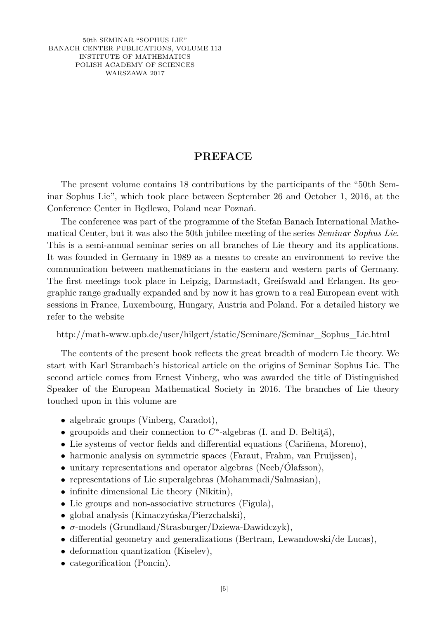50th SEMINAR "SOPHUS LIE" BANACH CENTER PUBLICATIONS, VOLUME 113 INSTITUTE OF MATHEMATICS POLISH ACADEMY OF SCIENCES WARSZAWA 2017

## **PREFACE**

The present volume contains 18 contributions by the participants of the "50th Seminar Sophus Lie", which took place between September 26 and October 1, 2016, at the Conference Center in Będlewo, Poland near Poznań.

The conference was part of the programme of the Stefan Banach International Mathematical Center, but it was also the 50th jubilee meeting of the series *Seminar Sophus Lie*. This is a semi-annual seminar series on all branches of Lie theory and its applications. It was founded in Germany in 1989 as a means to create an environment to revive the communication between mathematicians in the eastern and western parts of Germany. The first meetings took place in Leipzig, Darmstadt, Greifswald and Erlangen. Its geographic range gradually expanded and by now it has grown to a real European event with sessions in France, Luxembourg, Hungary, Austria and Poland. For a detailed history we refer to the website

## http://math-www.upb.de/user/hilgert/static/Seminare/Seminar\_Sophus\_Lie.html

The contents of the present book reflects the great breadth of modern Lie theory. We start with Karl Strambach's historical article on the origins of Seminar Sophus Lie. The second article comes from Ernest Vinberg, who was awarded the title of Distinguished Speaker of the European Mathematical Society in 2016. The branches of Lie theory touched upon in this volume are

- algebraic groups (Vinberg, Caradot),
- groupoids and their connection to *C* ∗ -algebras (I. and D. Beltiţă),
- Lie systems of vector fields and differential equations (Cariñena, Moreno),
- harmonic analysis on symmetric spaces (Faraut, Frahm, van Pruijssen),
- unitary representations and operator algebras (Neeb/Ólafsson),
- representations of Lie superalgebras (Mohammadi/Salmasian),
- infinite dimensional Lie theory (Nikitin),
- Lie groups and non-associative structures (Figula),
- global analysis (Kimaczyńska/Pierzchalski),
- *σ*-models (Grundland/Strasburger/Dziewa-Dawidczyk),
- differential geometry and generalizations (Bertram, Lewandowski/de Lucas),
- deformation quantization (Kiselev),
- categorification (Poncin).